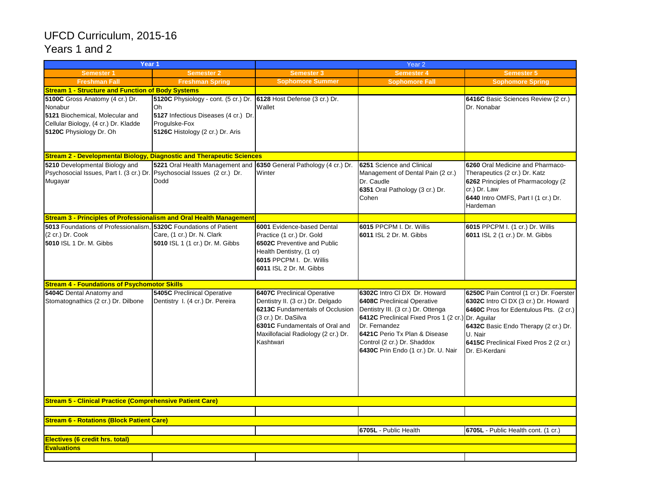## UFCD Curriculum, 2015-16 Years 1 and 2

| Year <sub>1</sub>                                                                                                                                |                                                                                                                                                                       | Year 2                                                                                                                                                                                                                  |                                                                                                                                                                                                                                                                                        |                                                                                                                                                                                                                                                 |  |  |
|--------------------------------------------------------------------------------------------------------------------------------------------------|-----------------------------------------------------------------------------------------------------------------------------------------------------------------------|-------------------------------------------------------------------------------------------------------------------------------------------------------------------------------------------------------------------------|----------------------------------------------------------------------------------------------------------------------------------------------------------------------------------------------------------------------------------------------------------------------------------------|-------------------------------------------------------------------------------------------------------------------------------------------------------------------------------------------------------------------------------------------------|--|--|
| <b>Semester 1</b>                                                                                                                                | <b>Semester 2</b>                                                                                                                                                     | <b>Semester 3</b>                                                                                                                                                                                                       | Semester 4                                                                                                                                                                                                                                                                             | Semester 5                                                                                                                                                                                                                                      |  |  |
| <b>Freshman Fall</b>                                                                                                                             | <b>Freshman Spring</b>                                                                                                                                                | <b>Sophomore Summer</b>                                                                                                                                                                                                 | <b>Sophomore Fall</b>                                                                                                                                                                                                                                                                  | <b>Sophomore Spring</b>                                                                                                                                                                                                                         |  |  |
| <b>Stream 1 - Structure and Function of Body Systems</b>                                                                                         |                                                                                                                                                                       |                                                                                                                                                                                                                         |                                                                                                                                                                                                                                                                                        |                                                                                                                                                                                                                                                 |  |  |
| 5100C Gross Anatomy (4 cr.) Dr.<br>Nonabur<br>5121 Biochemical, Molecular and<br>Cellular Biology, (4 cr.) Dr. Kladde<br>5120C Physiology Dr. Oh | 5120C Physiology - cont. (5 cr.) Dr. 6128 Host Defense (3 cr.) Dr.<br>Oh<br>5127 Infectious Diseases (4 cr.) Dr.<br>Progulske-Fox<br>5126C Histology (2 cr.) Dr. Aris | Wallet                                                                                                                                                                                                                  |                                                                                                                                                                                                                                                                                        | 6416C Basic Sciences Review (2 cr.)<br>Dr. Nonabar                                                                                                                                                                                              |  |  |
| <b>Stream 2 - Developmental Biology, Diagnostic and Therapeutic Sciences</b>                                                                     |                                                                                                                                                                       |                                                                                                                                                                                                                         |                                                                                                                                                                                                                                                                                        |                                                                                                                                                                                                                                                 |  |  |
| 5210 Developmental Biology and<br>Psychosocial Issues, Part I. (3 cr.) Dr. Psychosocial Issues (2 cr.) Dr.<br>Mugayar                            | 5221 Oral Health Management and<br>Dodd                                                                                                                               | 6350 General Pathology (4 cr.) Dr.<br>Winter                                                                                                                                                                            | 6251 Science and Clinical<br>Management of Dental Pain (2 cr.)<br>Dr. Caudle<br>6351 Oral Pathology (3 cr.) Dr.<br>Cohen                                                                                                                                                               | 6260 Oral Medicine and Pharmaco-<br>Therapeutics (2 cr.) Dr. Katz<br>6262 Principles of Pharmacology (2)<br>cr.) Dr. Law<br>6440 Intro OMFS, Part I (1 cr.) Dr.<br>Hardeman                                                                     |  |  |
| <b>Stream 3 - Principles of Professionalism and Oral Health Management</b>                                                                       |                                                                                                                                                                       |                                                                                                                                                                                                                         |                                                                                                                                                                                                                                                                                        |                                                                                                                                                                                                                                                 |  |  |
| 5013 Foundations of Professionalism, 5320C Foundations of Patient<br>(2 cr.) Dr. Cook<br>5010 ISL 1 Dr. M. Gibbs                                 | Care, (1 cr.) Dr. N. Clark<br>5010 ISL 1 (1 cr.) Dr. M. Gibbs                                                                                                         | 6001 Evidence-based Dental<br>Practice (1 cr.) Dr. Gold<br><b>6502C</b> Preventive and Public<br>Health Dentistry, (1 cr)<br>6015 PPCPM I. Dr. Willis<br><b>6011 ISL 2 Dr. M. Gibbs</b>                                 | 6015 PPCPM I. Dr. Willis<br><b>6011 ISL 2 Dr. M. Gibbs</b>                                                                                                                                                                                                                             | 6015 PPCPM I. (1 cr.) Dr. Willis<br>6011 ISL 2 (1 cr.) Dr. M. Gibbs                                                                                                                                                                             |  |  |
| <b>Stream 4 - Foundations of Psychomotor Skills</b>                                                                                              |                                                                                                                                                                       |                                                                                                                                                                                                                         |                                                                                                                                                                                                                                                                                        |                                                                                                                                                                                                                                                 |  |  |
| 5404C Dental Anatomy and<br>Stomatognathics (2 cr.) Dr. Dilbone                                                                                  | <b>5405C</b> Preclinical Operative<br>Dentistry I. (4 cr.) Dr. Pereira                                                                                                | <b>6407C</b> Preclinical Operative<br>Dentistry II. (3 cr.) Dr. Delgado<br>6213C Fundamentals of Occlusion<br>(3 cr.) Dr. DaSilva<br>6301C Fundamentals of Oral and<br>Maxillofacial Radiology (2 cr.) Dr.<br>Kashtwari | 6302C Intro CI DX Dr. Howard<br><b>6408C</b> Preclinical Operative<br>Dentistry III. (3 cr.) Dr. Ottenga<br>6412C Preclinical Fixed Pros 1 (2 cr.) Dr. Aguilar<br>Dr. Fernandez<br>6421C Perio Tx Plan & Disease<br>Control (2 cr.) Dr. Shaddox<br>6430C Prin Endo (1 cr.) Dr. U. Nair | 6250C Pain Control (1 cr.) Dr. Foerster<br>6302C Intro CI DX (3 cr.) Dr. Howard<br><b>6460C</b> Pros for Edentulous Pts. (2 cr.)<br>6432C Basic Endo Therapy (2 cr.) Dr.<br>U. Nair<br>6415C Preclinical Fixed Pros 2 (2 cr.)<br>Dr. El-Kerdani |  |  |
| <b>Stream 5 - Clinical Practice (Comprehensive Patient Care)</b>                                                                                 |                                                                                                                                                                       |                                                                                                                                                                                                                         |                                                                                                                                                                                                                                                                                        |                                                                                                                                                                                                                                                 |  |  |
|                                                                                                                                                  |                                                                                                                                                                       |                                                                                                                                                                                                                         |                                                                                                                                                                                                                                                                                        |                                                                                                                                                                                                                                                 |  |  |
| <b>Stream 6 - Rotations (Block Patient Care)</b>                                                                                                 |                                                                                                                                                                       |                                                                                                                                                                                                                         |                                                                                                                                                                                                                                                                                        |                                                                                                                                                                                                                                                 |  |  |
|                                                                                                                                                  |                                                                                                                                                                       |                                                                                                                                                                                                                         | 6705L - Public Health                                                                                                                                                                                                                                                                  | 6705L - Public Health cont. (1 cr.)                                                                                                                                                                                                             |  |  |
| Electives (6 credit hrs. total)                                                                                                                  |                                                                                                                                                                       |                                                                                                                                                                                                                         |                                                                                                                                                                                                                                                                                        |                                                                                                                                                                                                                                                 |  |  |
| <b>Evaluations</b>                                                                                                                               |                                                                                                                                                                       |                                                                                                                                                                                                                         |                                                                                                                                                                                                                                                                                        |                                                                                                                                                                                                                                                 |  |  |
|                                                                                                                                                  |                                                                                                                                                                       |                                                                                                                                                                                                                         |                                                                                                                                                                                                                                                                                        |                                                                                                                                                                                                                                                 |  |  |